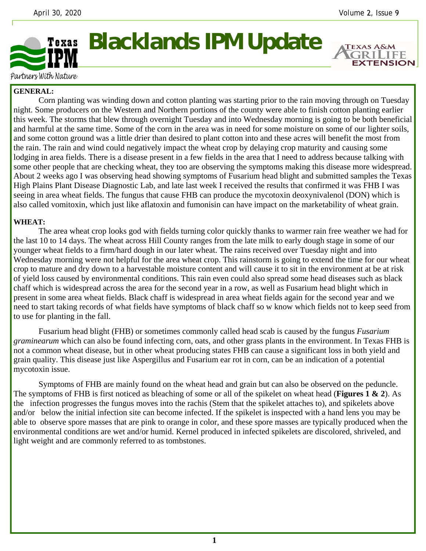**EXTENSION** 



Partners With Nature

# **GENERAL:**

 Corn planting was winding down and cotton planting was starting prior to the rain moving through on Tuesday night. Some producers on the Western and Northern portions of the county were able to finish cotton planting earlier this week. The storms that blew through overnight Tuesday and into Wednesday morning is going to be both beneficial and harmful at the same time. Some of the corn in the area was in need for some moisture on some of our lighter soils, and some cotton ground was a little drier than desired to plant cotton into and these acres will benefit the most from the rain. The rain and wind could negatively impact the wheat crop by delaying crop maturity and causing some lodging in area fields. There is a disease present in a few fields in the area that I need to address because talking with some other people that are checking wheat, they too are observing the symptoms making this disease more widespread. About 2 weeks ago I was observing head showing symptoms of Fusarium head blight and submitted samples the Texas High Plains Plant Disease Diagnostic Lab, and late last week I received the results that confirmed it was FHB I was seeing in area wheat fields. The fungus that cause FHB can produce the mycotoxin deoxynivalenol (DON) which is also called vomitoxin, which just like aflatoxin and fumonisin can have impact on the marketability of wheat grain.

## **WHEAT:**

 The area wheat crop looks god with fields turning color quickly thanks to warmer rain free weather we had for the last 10 to 14 days. The wheat across Hill County ranges from the late milk to early dough stage in some of our younger wheat fields to a firm/hard dough in our later wheat. The rains received over Tuesday night and into Wednesday morning were not helpful for the area wheat crop. This rainstorm is going to extend the time for our wheat crop to mature and dry down to a harvestable moisture content and will cause it to sit in the environment at be at risk of yield loss caused by environmental conditions. This rain even could also spread some head diseases such as black chaff which is widespread across the area for the second year in a row, as well as Fusarium head blight which in present in some area wheat fields. Black chaff is widespread in area wheat fields again for the second year and we need to start taking records of what fields have symptoms of black chaff so w know which fields not to keep seed from to use for planting in the fall.

 Fusarium head blight (FHB) or sometimes commonly called head scab is caused by the fungus *Fusarium graminearum* which can also be found infecting corn, oats, and other grass plants in the environment. In Texas FHB is not a common wheat disease, but in other wheat producing states FHB can cause a significant loss in both yield and grain quality. This disease just like Aspergillus and Fusarium ear rot in corn, can be an indication of a potential mycotoxin issue.

 Symptoms of FHB are mainly found on the wheat head and grain but can also be observed on the peduncle. The symptoms of FHB is first noticed as bleaching of some or all of the spikelet on wheat head (**Figures 1 & 2**). As the infection progresses the fungus moves into the rachis (Stem that the spikelet attaches to), and spikelets above and/or below the initial infection site can become infected. If the spikelet is inspected with a hand lens you may be able to observe spore masses that are pink to orange in color, and these spore masses are typically produced when the environmental conditions are wet and/or humid. Kernel produced in infected spikelets are discolored, shriveled, and light weight and are commonly referred to as tombstones.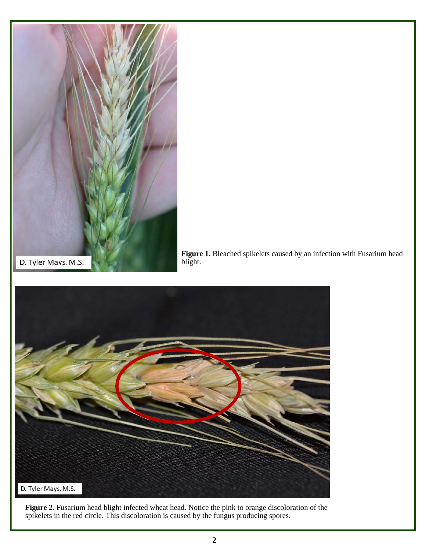



Figure 2. Fusarium head blight infected wheat head. Notice the pink to orange discoloration of the spikelets in the red circle. This discoloration is caused by the fungus producing spores.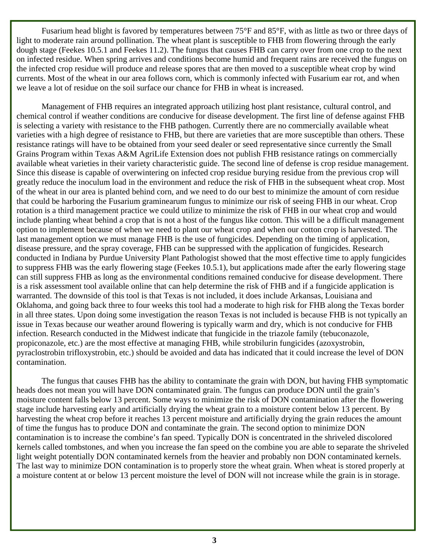Fusarium head blight is favored by temperatures between 75°F and 85°F, with as little as two or three days of light to moderate rain around pollination. The wheat plant is susceptible to FHB from flowering through the early dough stage (Feekes 10.5.1 and Feekes 11.2). The fungus that causes FHB can carry over from one crop to the next on infected residue. When spring arrives and conditions become humid and frequent rains are received the fungus on the infected crop residue will produce and release spores that are then moved to a susceptible wheat crop by wind currents. Most of the wheat in our area follows corn, which is commonly infected with Fusarium ear rot, and when we leave a lot of residue on the soil surface our chance for FHB in wheat is increased.

 Management of FHB requires an integrated approach utilizing host plant resistance, cultural control, and chemical control if weather conditions are conducive for disease development. The first line of defense against FHB is selecting a variety with resistance to the FHB pathogen. Currently there are no commercially available wheat varieties with a high degree of resistance to FHB, but there are varieties that are more susceptible than others. These resistance ratings will have to be obtained from your seed dealer or seed representative since currently the Small Grains Program within Texas A&M AgriLife Extension does not publish FHB resistance ratings on commercially available wheat varieties in their variety characteristic guide. The second line of defense is crop residue management. Since this disease is capable of overwintering on infected crop residue burying residue from the previous crop will greatly reduce the inoculum load in the environment and reduce the risk of FHB in the subsequent wheat crop. Most of the wheat in our area is planted behind corn, and we need to do our best to minimize the amount of corn residue that could be harboring the Fusarium graminearum fungus to minimize our risk of seeing FHB in our wheat. Crop rotation is a third management practice we could utilize to minimize the risk of FHB in our wheat crop and would include planting wheat behind a crop that is not a host of the fungus like cotton. This will be a difficult management option to implement because of when we need to plant our wheat crop and when our cotton crop is harvested. The last management option we must manage FHB is the use of fungicides. Depending on the timing of application, disease pressure, and the spray coverage, FHB can be suppressed with the application of fungicides. Research conducted in Indiana by Purdue University Plant Pathologist showed that the most effective time to apply fungicides to suppress FHB was the early flowering stage (Feekes 10.5.1), but applications made after the early flowering stage can still suppress FHB as long as the environmental conditions remained conducive for disease development. There is a risk assessment tool available online that can help determine the risk of FHB and if a fungicide application is warranted. The downside of this tool is that Texas is not included, it does include Arkansas, Louisiana and Oklahoma, and going back three to four weeks this tool had a moderate to high risk for FHB along the Texas border in all three states. Upon doing some investigation the reason Texas is not included is because FHB is not typically an issue in Texas because our weather around flowering is typically warm and dry, which is not conducive for FHB infection. Research conducted in the Midwest indicate that fungicide in the triazole family (tebuconazole, propiconazole, etc.) are the most effective at managing FHB, while strobilurin fungicides (azoxystrobin, pyraclostrobin trifloxystrobin, etc.) should be avoided and data has indicated that it could increase the level of DON contamination.

The fungus that causes FHB has the ability to contaminate the grain with DON, but having FHB symptomatic heads does not mean you will have DON contaminated grain. The fungus can produce DON until the grain's moisture content falls below 13 percent. Some ways to minimize the risk of DON contamination after the flowering stage include harvesting early and artificially drying the wheat grain to a moisture content below 13 percent. By harvesting the wheat crop before it reaches 13 percent moisture and artificially drying the grain reduces the amount of time the fungus has to produce DON and contaminate the grain. The second option to minimize DON contamination is to increase the combine's fan speed. Typically DON is concentrated in the shriveled discolored kernels called tombstones, and when you increase the fan speed on the combine you are able to separate the shriveled light weight potentially DON contaminated kernels from the heavier and probably non DON contaminated kernels. The last way to minimize DON contamination is to properly store the wheat grain. When wheat is stored properly at a moisture content at or below 13 percent moisture the level of DON will not increase while the grain is in storage.